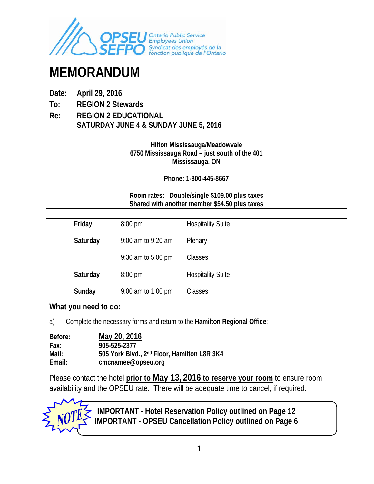

# **MEMORANDUM**

- **Date: April 29, 2016**
- **To: REGION 2 Stewards**
- **Re: REGION 2 EDUCATIONAL SATURDAY JUNE 4 & SUNDAY JUNE 5, 2016**

#### **Hilton Mississauga/Meadowvale 6750 Mississauga Road – just south of the 401 Mississauga, ON**

**Phone: 1-800-445-8667** 

#### **Room rates: Double/single \$109.00 plus taxes Shared with another member \$54.50 plus taxes**

| Friday   | $8:00 \text{ pm}$            | <b>Hospitality Suite</b> |
|----------|------------------------------|--------------------------|
| Saturday | 9:00 am to 9:20 am           | Plenary                  |
|          | 9:30 am to $5:00 \text{ pm}$ | Classes                  |
| Saturday | $8:00 \text{ pm}$            | <b>Hospitality Suite</b> |
| Sunday   | 9:00 am to 1:00 pm           | Classes                  |

#### **What you need to do:**

a) Complete the necessary forms and return to the **Hamilton Regional Office**:

| Before: | May 20, 2016                                            |
|---------|---------------------------------------------------------|
| Fax:    | 905-525-2377                                            |
| Mail:   | 505 York Blvd., 2 <sup>nd</sup> Floor, Hamilton L8R 3K4 |
| Email:  | cmcnamee@opseu.org                                      |

Please contact the hotel **prior to May 13, 2016 to reserve your room** to ensure room availability and the OPSEU rate. There will be adequate time to cancel, if required**.** 



**IMPORTANT - Hotel Reservation Policy outlined on Page 12 IMPORTANT - OPSEU Cancellation Policy outlined on Page 6**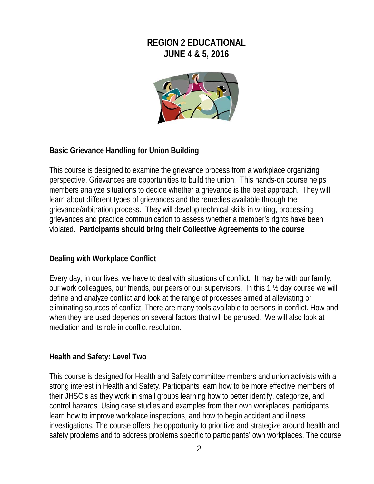## **REGION 2 EDUCATIONAL JUNE 4 & 5, 2016**



## **Basic Grievance Handling for Union Building**

This course is designed to examine the grievance process from a workplace organizing perspective. Grievances are opportunities to build the union. This hands-on course helps members analyze situations to decide whether a grievance is the best approach. They will learn about different types of grievances and the remedies available through the grievance/arbitration process. They will develop technical skills in writing, processing grievances and practice communication to assess whether a member's rights have been violated. **Participants should bring their Collective Agreements to the course** 

## **Dealing with Workplace Conflict**

Every day, in our lives, we have to deal with situations of conflict. It may be with our family, our work colleagues, our friends, our peers or our supervisors. In this 1 ½ day course we will define and analyze conflict and look at the range of processes aimed at alleviating or eliminating sources of conflict. There are many tools available to persons in conflict. How and when they are used depends on several factors that will be perused. We will also look at mediation and its role in conflict resolution.

#### **Health and Safety: Level Two**

This course is designed for Health and Safety committee members and union activists with a strong interest in Health and Safety. Participants learn how to be more effective members of their JHSC's as they work in small groups learning how to better identify, categorize, and control hazards. Using case studies and examples from their own workplaces, participants learn how to improve workplace inspections, and how to begin accident and illness investigations. The course offers the opportunity to prioritize and strategize around health and safety problems and to address problems specific to participants' own workplaces. The course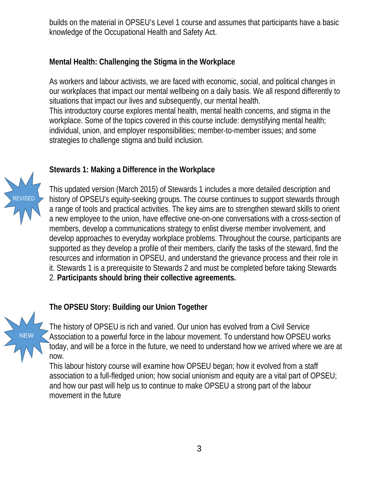builds on the material in OPSEU's Level 1 course and assumes that participants have a basic knowledge of the Occupational Health and Safety Act.

## **Mental Health: Challenging the Stigma in the Workplace**

As workers and labour activists, we are faced with economic, social, and political changes in our workplaces that impact our mental wellbeing on a daily basis. We all respond differently to situations that impact our lives and subsequently, our mental health.

This introductory course explores mental health, mental health concerns, and stigma in the workplace. Some of the topics covered in this course include: demystifying mental health; individual, union, and employer responsibilities; member-to-member issues; and some strategies to challenge stigma and build inclusion.



NEW

## **Stewards 1: Making a Difference in the Workplace**

This updated version (March 2015) of Stewards 1 includes a more detailed description and history of OPSEU's equity-seeking groups. The course continues to support stewards through a range of tools and practical activities. The key aims are to strengthen steward skills to orient a new employee to the union, have effective one-on-one conversations with a cross-section of members, develop a communications strategy to enlist diverse member involvement, and develop approaches to everyday workplace problems. Throughout the course, participants are supported as they develop a profile of their members, clarify the tasks of the steward, find the resources and information in OPSEU, and understand the grievance process and their role in it. Stewards 1 is a prerequisite to Stewards 2 and must be completed before taking Stewards 2. **Participants should bring their collective agreements.**

## **The OPSEU Story: Building our Union Together**

The history of OPSEU is rich and varied. Our union has evolved from a Civil Service Association to a powerful force in the labour movement. To understand how OPSEU works today, and will be a force in the future, we need to understand how we arrived where we are at now.

This labour history course will examine how OPSEU began; how it evolved from a staff association to a full-fledged union; how social unionism and equity are a vital part of OPSEU; and how our past will help us to continue to make OPSEU a strong part of the labour movement in the future

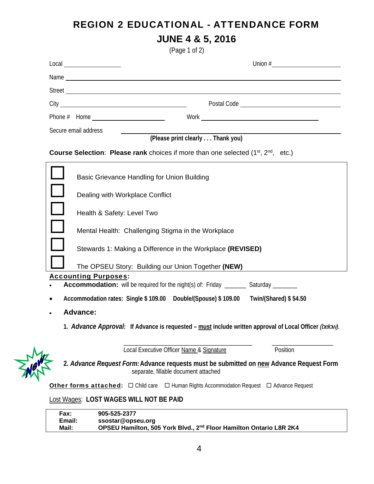## REGION 2 EDUCATIONAL - ATTENDANCE FORM **JUNE 4 & 5, 2016**

(Page 1 of 2)

|                         | Secure email address                                                                                                            |
|-------------------------|---------------------------------------------------------------------------------------------------------------------------------|
|                         | (Please print clearly Thank you)                                                                                                |
|                         | <b>Course Selection: Please rank</b> choices if more than one selected (1 <sup>st</sup> , 2 <sup>nd</sup> , etc.)               |
|                         | Basic Grievance Handling for Union Building                                                                                     |
|                         | Dealing with Workplace Conflict                                                                                                 |
|                         | Health & Safety: Level Two                                                                                                      |
|                         | Mental Health: Challenging Stigma in the Workplace                                                                              |
|                         | Stewards 1: Making a Difference in the Workplace (REVISED)                                                                      |
|                         | The OPSEU Story: Building our Union Together (NEW)                                                                              |
|                         | <b>Accounting Purposes:</b><br><b>Accommodation:</b> will be required for the night(s) of: Friday ________ Saturday _______     |
| ٠                       | Accommodation rates: Single \$109.00 Double/(Spouse) \$109.00 Twin/(Shared) \$54.50                                             |
|                         | <b>Advance:</b>                                                                                                                 |
|                         | 1. Advance Approval: If Advance is requested – must include written approval of Local Officer (below).                          |
|                         | Position<br>Local Executive Officer Name & Signature                                                                            |
|                         | 2. Advance Request Form: Advance requests must be submitted on new Advance Request Form<br>separate, fillable document attached |
|                         | Other forms attached:  □ Child care □ Human Rights Accommodation Request □ Advance Request                                      |
|                         | Lost Wages: LOST WAGES WILL NOT BE PAID                                                                                         |
| Fax:<br>Email:<br>Mail: | 905-525-2377<br>ssostar@opseu.org<br>OPSEU Hamilton, 505 York Blvd., 2nd Floor Hamilton Ontario L8R 2K4                         |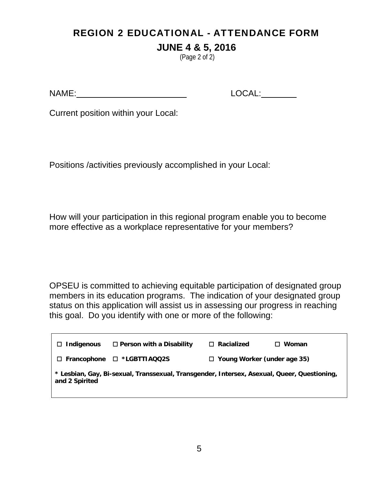# REGION 2 EDUCATIONAL - ATTENDANCE FORM

## **JUNE 4 & 5, 2016**

(Page 2 of 2)

NAME: LOCAL:

Current position within your Local:

Positions /activities previously accomplished in your Local:

How will your participation in this regional program enable you to become more effective as a workplace representative for your members?

OPSEU is committed to achieving equitable participation of designated group members in its education programs. The indication of your designated group status on this application will assist us in assessing our progress in reaching this goal. Do you identify with one or more of the following:

| Indigenous<br>$\Box$ | $\Box$ Person with a Disability                                                             | $\Box$ Racialized                  | Woman |
|----------------------|---------------------------------------------------------------------------------------------|------------------------------------|-------|
|                      | $\Box$ Francophone $\Box$ *LGBTTIAQQ2S                                                      | $\Box$ Young Worker (under age 35) |       |
| and 2 Spirited       | * Lesbian, Gay, Bi-sexual, Transsexual, Transgender, Intersex, Asexual, Queer, Questioning, |                                    |       |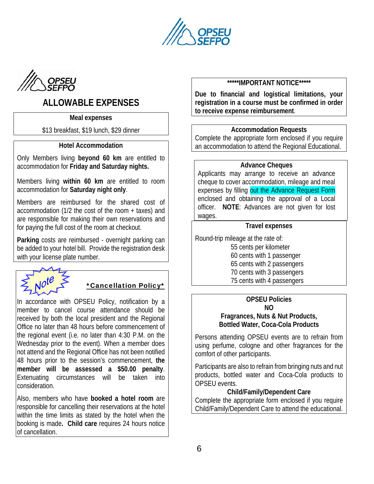



## **ALLOWABLE EXPENSES**

#### **Meal expenses**

\$13 breakfast, \$19 lunch, \$29 dinner

#### **Hotel Accommodation**

Only Members living **beyond 60 km** are entitled to accommodation for **Friday and Saturday nights.** 

Members living **within 60 km** are entitled to room accommodation for **Saturday night only**.

Members are reimbursed for the shared cost of accommodation (1/2 the cost of the room + taxes) and are responsible for making their own reservations and for paying the full cost of the room at checkout.

**Parking** costs are reimbursed - overnight parking can be added to your hotel bill. Provide the registration desk with your license plate number.

## \*Cancellation Policy\*

In accordance with OPSEU Policy, notification by a member to cancel course attendance should be received by both the local president and the Regional Office no later than 48 hours before commencement of the regional event (i.e. no later than 4:30 P.M. on the Wednesday prior to the event). When a member does not attend and the Regional Office has not been notified 48 hours prior to the session's commencement, **the member will be assessed a \$50.00 penalty**. Extenuating circumstances will be taken into consideration.

Also, members who have **booked a hotel room** are responsible for cancelling their reservations at the hotel within the time limits as stated by the hotel when the booking is made**. Child care** requires 24 hours notice of cancellation.

#### **\*\*\*\*\*IMPORTANT NOTICE\*\*\*\*\***

**Due to financial and logistical limitations, your registration in a course must be confirmed in order to receive expense reimbursement**.

#### **Accommodation Requests**

Complete the appropriate form enclosed if you require an accommodation to attend the Regional Educational.

#### **Advance Cheques**

Applicants may arrange to receive an advance cheque to cover accommodation, mileage and meal expenses by filling out the Advance Request Form enclosed and obtaining the approval of a Local officer. **NOTE**: Advances are not given for lost wages.

#### **Travel expenses**

Round-trip mileage at the rate of:

 55 cents per kilometer 60 cents with 1 passenger 65 cents with 2 passengers 70 cents with 3 passengers 75 cents with 4 passengers

#### **OPSEU Policies NO Fragrances, Nuts & Nut Products,**

**Bottled Water, Coca-Cola Products** 

Persons attending OPSEU events are to refrain from using perfume, cologne and other fragrances for the comfort of other participants.

Participants are also to refrain from bringing nuts and nut products, bottled water and Coca-Cola products to OPSEU events.

#### **Child/Family/Dependent Care**

Complete the appropriate form enclosed if you require Child/Family/Dependent Care to attend the educational.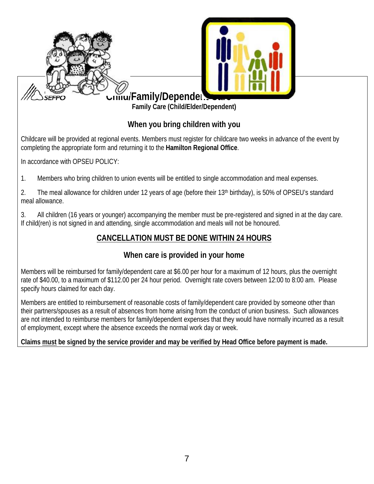

## **When you bring children with you**

Childcare will be provided at regional events. Members must register for childcare two weeks in advance of the event by completing the appropriate form and returning it to the **Hamilton Regional Office**.

In accordance with OPSEU POLICY:

1. Members who bring children to union events will be entitled to single accommodation and meal expenses.

2. The meal allowance for children under 12 years of age (before their 13<sup>th</sup> birthday), is 50% of OPSEU's standard meal allowance.

3. All children (16 years or younger) accompanying the member must be pre-registered and signed in at the day care. If child(ren) is not signed in and attending, single accommodation and meals will not be honoured.

## **CANCELLATION MUST BE DONE WITHIN 24 HOURS**

## **When care is provided in your home**

Members will be reimbursed for family/dependent care at \$6.00 per hour for a maximum of 12 hours, plus the overnight rate of \$40.00, to a maximum of \$112.00 per 24 hour period. Overnight rate covers between 12:00 to 8:00 am. Please specify hours claimed for each day.

Members are entitled to reimbursement of reasonable costs of family/dependent care provided by someone other than their partners/spouses as a result of absences from home arising from the conduct of union business. Such allowances are not intended to reimburse members for family/dependent expenses that they would have normally incurred as a result of employment, except where the absence exceeds the normal work day or week.

## **Claims must be signed by the service provider and may be verified by Head Office before payment is made.**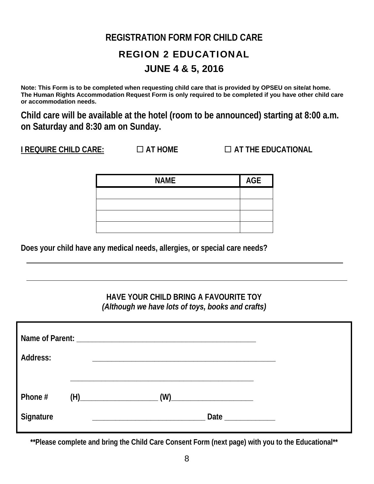## **REGISTRATION FORM FOR CHILD CARE**

# REGION 2 EDUCATIONAL **JUNE 4 & 5, 2016**

**Note: This Form is to be completed when requesting child care that is provided by OPSEU on site/at home. The Human Rights Accommodation Request Form is only required to be completed if you have other child care or accommodation needs.** 

**Child care will be available at the hotel (room to be announced) starting at 8:00 a.m. on Saturday and 8:30 am on Sunday.** 

**I REQUIRE CHILD CARE: AT HOME AT THE EDUCATIONAL** 

| <b>NAME</b> | AGE |
|-------------|-----|
|             |     |
|             |     |
|             |     |
|             |     |

**Does your child have any medical needs, allergies, or special care needs?** 

## **HAVE YOUR CHILD BRING A FAVOURITE TOY**  *(Although we have lots of toys, books and crafts)*

| Address:  |     |                                                                                                                                                                                                                               |  |  |
|-----------|-----|-------------------------------------------------------------------------------------------------------------------------------------------------------------------------------------------------------------------------------|--|--|
| Phone #   | (H) |                                                                                                                                                                                                                               |  |  |
| Signature |     | Date and the same of the same of the same of the same of the same of the same of the same of the same of the same of the same of the same of the same of the same of the same of the same of the same of the same of the same |  |  |

**\*\*Please complete and bring the Child Care Consent Form (next page) with you to the Educational\*\***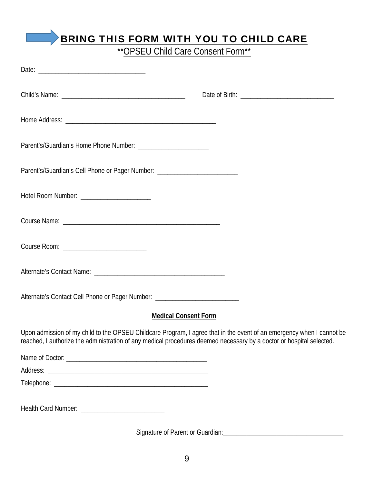## BRING THIS FORM WITH YOU TO CHILD CARE

\*\* OPSEU Child Care Consent Form\*\*

| Parent's/Guardian's Cell Phone or Pager Number: ________________________________                                                                                                                                                              |
|-----------------------------------------------------------------------------------------------------------------------------------------------------------------------------------------------------------------------------------------------|
| Hotel Room Number: ________________________                                                                                                                                                                                                   |
|                                                                                                                                                                                                                                               |
|                                                                                                                                                                                                                                               |
|                                                                                                                                                                                                                                               |
| Alternate's Contact Cell Phone or Pager Number: ________________________________                                                                                                                                                              |
| <b>Medical Consent Form</b>                                                                                                                                                                                                                   |
| Upon admission of my child to the OPSEU Childcare Program, I agree that in the event of an emergency when I cannot be<br>reached, I authorize the administration of any medical procedures deemed necessary by a doctor or hospital selected. |
|                                                                                                                                                                                                                                               |
|                                                                                                                                                                                                                                               |
|                                                                                                                                                                                                                                               |
|                                                                                                                                                                                                                                               |

Signature of Parent or Guardian:\_\_\_\_\_\_\_\_\_\_\_\_\_\_\_\_\_\_\_\_\_\_\_\_\_\_\_\_\_\_\_\_\_\_\_\_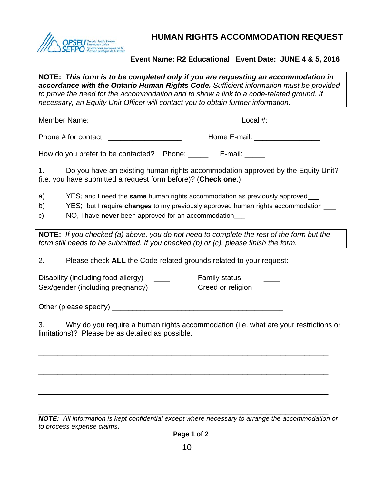

**HUMAN RIGHTS ACCOMMODATION REQUEST**

#### **Event Name: R2 Educational Event Date: JUNE 4 & 5, 2016**

**NOTE:** *This form is to be completed only if you are requesting an accommodation in accordance with the Ontario Human Rights Code. Sufficient information must be provided to prove the need for the accommodation and to show a link to a code-related ground. If necessary, an Equity Unit Officer will contact you to obtain further information.*

Member Name: \_\_\_\_\_\_\_\_\_\_\_\_\_\_\_\_\_\_\_\_\_\_\_\_\_\_\_\_\_\_\_\_\_\_\_\_ Local #: \_\_\_\_\_\_

Phone # for contact: \_\_\_\_\_\_\_\_\_\_\_\_\_\_\_\_\_\_ Home E-mail: \_\_\_\_\_\_\_\_\_\_\_\_\_\_\_\_

How do you prefer to be contacted? Phone: \_\_\_\_\_\_ E-mail: \_\_\_\_\_

1. Do you have an existing human rights accommodation approved by the Equity Unit? (i.e. you have submitted a request form before)? (**Check one**.)

- a) YES; and I need the **same** human rights accommodation as previously approved \_\_\_
- b) YES; but I require **changes** to my previously approved human rights accommodation \_\_\_
- c) NO, I have **never** been approved for an accommodation\_\_\_

**NOTE:** *If you checked (a) above, you do not need to complete the rest of the form but the form still needs to be submitted. If you checked (b) or (c), please finish the form.*

2. Please check **ALL** the Code-related grounds related to your request:

Disability (including food allergy) Family status Family status Sex/gender (including pregnancy) example Creed or religion  $\blacksquare$ 

Other (please specify) \_\_\_\_\_\_\_\_\_\_\_\_\_\_\_\_\_\_\_\_\_\_\_\_\_\_\_\_\_\_\_\_\_\_\_\_\_\_\_\_\_\_

3. Why do you require a human rights accommodation (i.e. what are your restrictions or limitations)? Please be as detailed as possible.

\_\_\_\_\_\_\_\_\_\_\_\_\_\_\_\_\_\_\_\_\_\_\_\_\_\_\_\_\_\_\_\_\_\_\_\_\_\_\_\_\_\_\_\_\_\_\_\_\_\_\_\_\_\_\_\_\_\_\_\_\_

\_\_\_\_\_\_\_\_\_\_\_\_\_\_\_\_\_\_\_\_\_\_\_\_\_\_\_\_\_\_\_\_\_\_\_\_\_\_\_\_\_\_\_\_\_\_\_\_\_\_\_\_\_\_\_\_\_\_\_\_\_

\_\_\_\_\_\_\_\_\_\_\_\_\_\_\_\_\_\_\_\_\_\_\_\_\_\_\_\_\_\_\_\_\_\_\_\_\_\_\_\_\_\_\_\_\_\_\_\_\_\_\_\_\_\_\_\_\_\_\_\_\_

\_\_\_\_\_\_\_\_\_\_\_\_\_\_\_\_\_\_\_\_\_\_\_\_\_\_\_\_\_\_\_\_\_\_\_\_\_\_\_\_\_\_\_\_\_\_\_\_\_\_\_\_\_\_\_\_\_\_\_\_\_ *NOTE: All information is kept confidential except where necessary to arrange the accommodation or to process expense claims***.**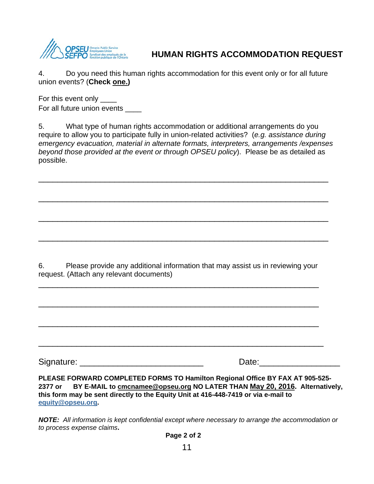

## **HUMAN RIGHTS ACCOMMODATION REQUEST**

4. Do you need this human rights accommodation for this event only or for all future union events? (**Check one.)**

For this event only \_\_\_\_ For all future union events \_\_\_\_

5. What type of human rights accommodation or additional arrangements do you require to allow you to participate fully in union-related activities? (*e.g. assistance during emergency evacuation, material in alternate formats, interpreters, arrangements /expenses beyond those provided at the event or through OPSEU policy*). Please be as detailed as possible.

\_\_\_\_\_\_\_\_\_\_\_\_\_\_\_\_\_\_\_\_\_\_\_\_\_\_\_\_\_\_\_\_\_\_\_\_\_\_\_\_\_\_\_\_\_\_\_\_\_\_\_\_\_\_\_\_\_\_\_\_\_

\_\_\_\_\_\_\_\_\_\_\_\_\_\_\_\_\_\_\_\_\_\_\_\_\_\_\_\_\_\_\_\_\_\_\_\_\_\_\_\_\_\_\_\_\_\_\_\_\_\_\_\_\_\_\_\_\_\_\_\_\_

\_\_\_\_\_\_\_\_\_\_\_\_\_\_\_\_\_\_\_\_\_\_\_\_\_\_\_\_\_\_\_\_\_\_\_\_\_\_\_\_\_\_\_\_\_\_\_\_\_\_\_\_\_\_\_\_\_\_\_\_\_

\_\_\_\_\_\_\_\_\_\_\_\_\_\_\_\_\_\_\_\_\_\_\_\_\_\_\_\_\_\_\_\_\_\_\_\_\_\_\_\_\_\_\_\_\_\_\_\_\_\_\_\_\_\_\_\_\_\_\_\_\_

6. Please provide any additional information that may assist us in reviewing your request. (Attach any relevant documents)

\_\_\_\_\_\_\_\_\_\_\_\_\_\_\_\_\_\_\_\_\_\_\_\_\_\_\_\_\_\_\_\_\_\_\_\_\_\_\_\_\_\_\_\_\_\_\_\_\_\_\_\_\_\_\_\_\_\_\_

\_\_\_\_\_\_\_\_\_\_\_\_\_\_\_\_\_\_\_\_\_\_\_\_\_\_\_\_\_\_\_\_\_\_\_\_\_\_\_\_\_\_\_\_\_\_\_\_\_\_\_\_\_\_\_\_\_\_\_

\_\_\_\_\_\_\_\_\_\_\_\_\_\_\_\_\_\_\_\_\_\_\_\_\_\_\_\_\_\_\_\_\_\_\_\_\_\_\_\_\_\_\_\_\_\_\_\_\_\_\_\_\_\_\_\_\_\_\_

 $\overline{\phantom{a}}$  , and the contract of the contract of the contract of the contract of the contract of the contract of the contract of the contract of the contract of the contract of the contract of the contract of the contrac

Signature: \_\_\_\_\_\_\_\_\_\_\_\_\_\_\_\_\_\_\_\_\_\_\_\_\_\_ Date:\_\_\_\_\_\_\_\_\_\_\_\_\_\_\_\_\_

**PLEASE FORWARD COMPLETED FORMS TO Hamilton Regional Office BY FAX AT 905-525- 2377 or BY E-MAIL to cmcnamee@opseu.org NO LATER THAN May 20, 2016. Alternatively, this form may be sent directly to the Equity Unit at 416-448-7419 or via e-mail to equity@opseu.org.** 

*NOTE: All information is kept confidential except where necessary to arrange the accommodation or to process expense claims***.** 

 **Page 2 of 2**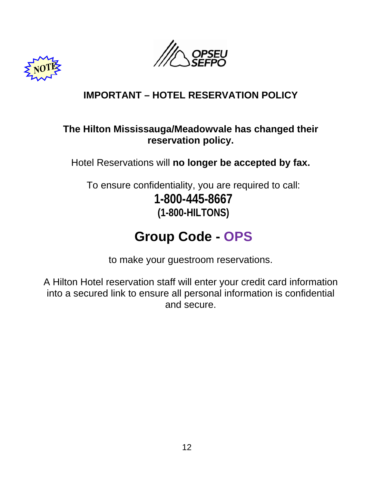



# **IMPORTANT – HOTEL RESERVATION POLICY**

## **The Hilton Mississauga/Meadowvale has changed their reservation policy.**

Hotel Reservations will **no longer be accepted by fax.** 

To ensure confidentiality, you are required to call: **1-800-445-8667 (1-800-HILTONS)**

# **Group Code - OPS**

to make your guestroom reservations.

A Hilton Hotel reservation staff will enter your credit card information into a secured link to ensure all personal information is confidential and secure.